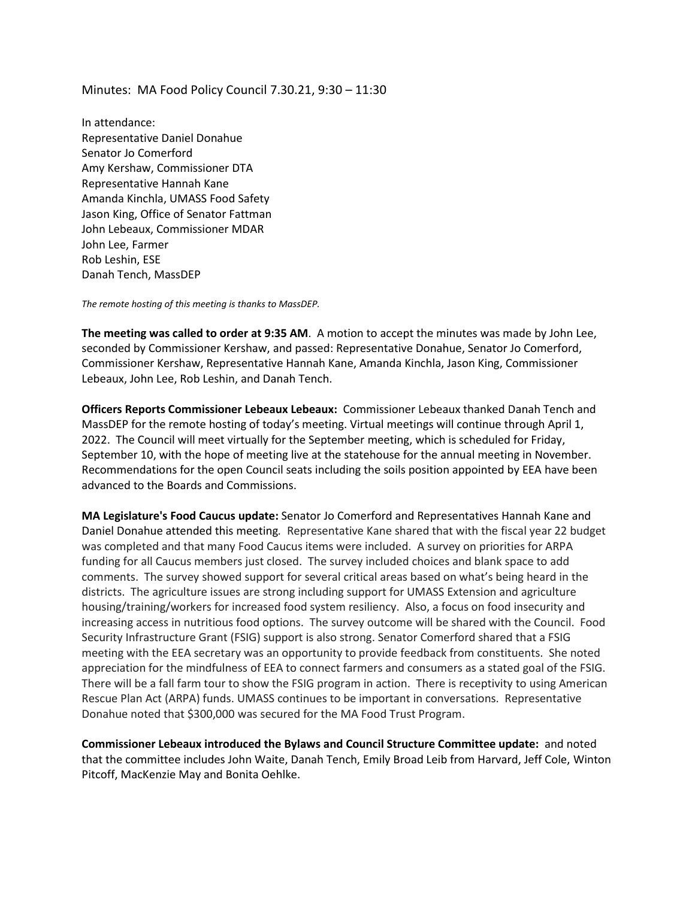Minutes: MA Food Policy Council 7.30.21, 9:30 – 11:30

In attendance: Representative Daniel Donahue Senator Jo Comerford Amy Kershaw, Commissioner DTA Representative Hannah Kane Amanda Kinchla, UMASS Food Safety Jason King, Office of Senator Fattman John Lebeaux, Commissioner MDAR John Lee, Farmer Rob Leshin, ESE Danah Tench, MassDEP

*The remote hosting of this meeting is thanks to MassDEP.* 

**The meeting was called to order at 9:35 AM**. A motion to accept the minutes was made by John Lee, seconded by Commissioner Kershaw, and passed: Representative Donahue, Senator Jo Comerford, Commissioner Kershaw, Representative Hannah Kane, Amanda Kinchla, Jason King, Commissioner Lebeaux, John Lee, Rob Leshin, and Danah Tench.

**Officers Reports Commissioner Lebeaux Lebeaux:** Commissioner Lebeaux thanked Danah Tench and MassDEP for the remote hosting of today's meeting. Virtual meetings will continue through April 1, 2022. The Council will meet virtually for the September meeting, which is scheduled for Friday, September 10, with the hope of meeting live at the statehouse for the annual meeting in November. Recommendations for the open Council seats including the soils position appointed by EEA have been advanced to the Boards and Commissions.

**MA Legislature's Food Caucus update:** Senator Jo Comerford and Representatives Hannah Kane and Daniel Donahue attended this meeting*.* Representative Kane shared that with the fiscal year 22 budget was completed and that many Food Caucus items were included. A survey on priorities for ARPA funding for all Caucus members just closed. The survey included choices and blank space to add comments. The survey showed support for several critical areas based on what's being heard in the districts. The agriculture issues are strong including support for UMASS Extension and agriculture housing/training/workers for increased food system resiliency. Also, a focus on food insecurity and increasing access in nutritious food options. The survey outcome will be shared with the Council. Food Security Infrastructure Grant (FSIG) support is also strong. Senator Comerford shared that a FSIG meeting with the EEA secretary was an opportunity to provide feedback from constituents. She noted appreciation for the mindfulness of EEA to connect farmers and consumers as a stated goal of the FSIG. There will be a fall farm tour to show the FSIG program in action. There is receptivity to using American Rescue Plan Act (ARPA) funds. UMASS continues to be important in conversations. Representative Donahue noted that \$300,000 was secured for the MA Food Trust Program.

**Commissioner Lebeaux introduced the Bylaws and Council Structure Committee update:** and noted that the committee includes John Waite, Danah Tench, Emily Broad Leib from Harvard, Jeff Cole, Winton Pitcoff, MacKenzie May and Bonita Oehlke.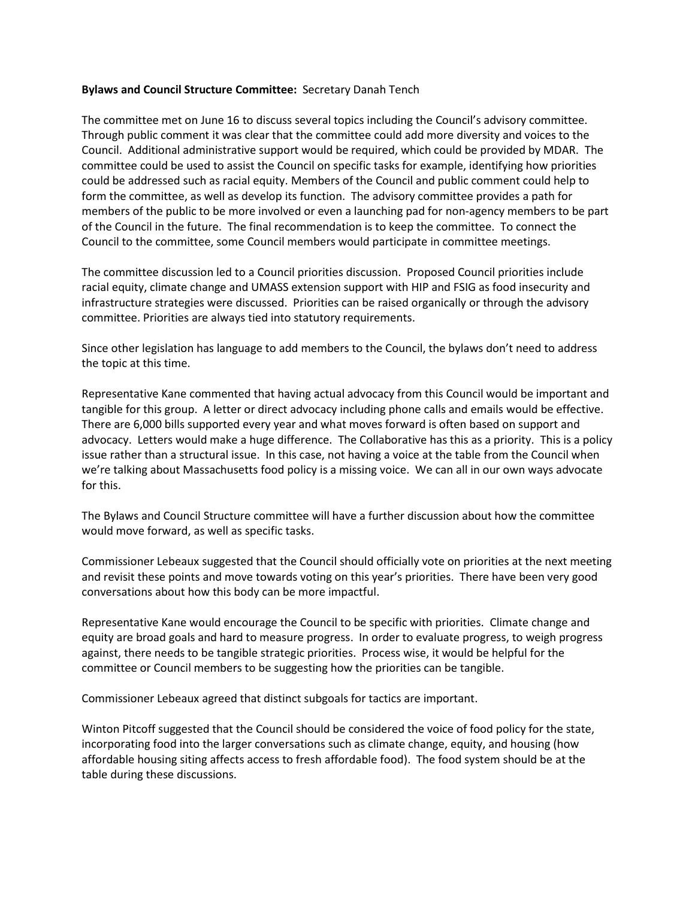## **Bylaws and Council Structure Committee:** Secretary Danah Tench

The committee met on June 16 to discuss several topics including the Council's advisory committee. Through public comment it was clear that the committee could add more diversity and voices to the Council. Additional administrative support would be required, which could be provided by MDAR. The committee could be used to assist the Council on specific tasks for example, identifying how priorities could be addressed such as racial equity. Members of the Council and public comment could help to form the committee, as well as develop its function. The advisory committee provides a path for members of the public to be more involved or even a launching pad for non-agency members to be part of the Council in the future. The final recommendation is to keep the committee. To connect the Council to the committee, some Council members would participate in committee meetings.

The committee discussion led to a Council priorities discussion. Proposed Council priorities include racial equity, climate change and UMASS extension support with HIP and FSIG as food insecurity and infrastructure strategies were discussed. Priorities can be raised organically or through the advisory committee. Priorities are always tied into statutory requirements.

Since other legislation has language to add members to the Council, the bylaws don't need to address the topic at this time.

Representative Kane commented that having actual advocacy from this Council would be important and tangible for this group. A letter or direct advocacy including phone calls and emails would be effective. There are 6,000 bills supported every year and what moves forward is often based on support and advocacy. Letters would make a huge difference. The Collaborative has this as a priority. This is a policy issue rather than a structural issue. In this case, not having a voice at the table from the Council when we're talking about Massachusetts food policy is a missing voice. We can all in our own ways advocate for this.

The Bylaws and Council Structure committee will have a further discussion about how the committee would move forward, as well as specific tasks.

Commissioner Lebeaux suggested that the Council should officially vote on priorities at the next meeting and revisit these points and move towards voting on this year's priorities. There have been very good conversations about how this body can be more impactful.

Representative Kane would encourage the Council to be specific with priorities. Climate change and equity are broad goals and hard to measure progress. In order to evaluate progress, to weigh progress against, there needs to be tangible strategic priorities. Process wise, it would be helpful for the committee or Council members to be suggesting how the priorities can be tangible.

Commissioner Lebeaux agreed that distinct subgoals for tactics are important.

Winton Pitcoff suggested that the Council should be considered the voice of food policy for the state, incorporating food into the larger conversations such as climate change, equity, and housing (how affordable housing siting affects access to fresh affordable food). The food system should be at the table during these discussions.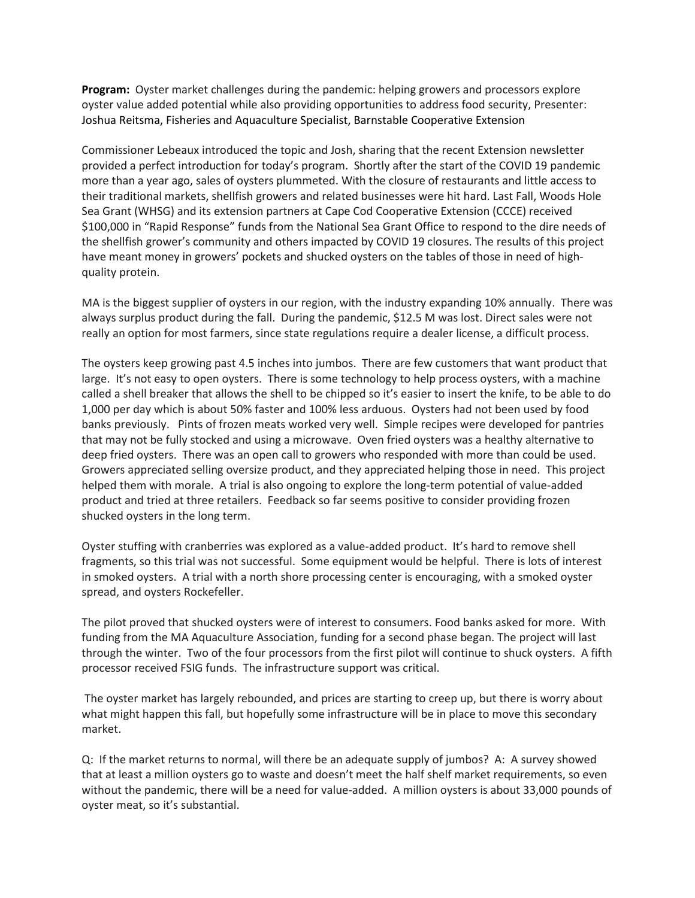**Program:** Oyster market challenges during the pandemic: helping growers and processors explore oyster value added potential while also providing opportunities to address food security, Presenter: Joshua Reitsma, Fisheries and Aquaculture Specialist, Barnstable Cooperative Extension

Commissioner Lebeaux introduced the topic and Josh, sharing that the recent Extension newsletter provided a perfect introduction for today's program. Shortly after the start of the COVID 19 pandemic more than a year ago, sales of oysters plummeted. With the closure of restaurants and little access to their traditional markets, shellfish growers and related businesses were hit hard. Last Fall, Woods Hole Sea Grant (WHSG) and its extension partners at Cape Cod Cooperative Extension (CCCE) received \$100,000 in "Rapid Response" funds from the National Sea Grant Office to respond to the dire needs of the shellfish grower's community and others impacted by COVID 19 closures. The results of this project have meant money in growers' pockets and shucked oysters on the tables of those in need of highquality protein.

MA is the biggest supplier of oysters in our region, with the industry expanding 10% annually. There was always surplus product during the fall. During the pandemic, \$12.5 M was lost. Direct sales were not really an option for most farmers, since state regulations require a dealer license, a difficult process.

The oysters keep growing past 4.5 inches into jumbos. There are few customers that want product that large. It's not easy to open oysters. There is some technology to help process oysters, with a machine called a shell breaker that allows the shell to be chipped so it's easier to insert the knife, to be able to do 1,000 per day which is about 50% faster and 100% less arduous. Oysters had not been used by food banks previously. Pints of frozen meats worked very well. Simple recipes were developed for pantries that may not be fully stocked and using a microwave. Oven fried oysters was a healthy alternative to deep fried oysters. There was an open call to growers who responded with more than could be used. Growers appreciated selling oversize product, and they appreciated helping those in need. This project helped them with morale. A trial is also ongoing to explore the long-term potential of value-added product and tried at three retailers. Feedback so far seems positive to consider providing frozen shucked oysters in the long term.

Oyster stuffing with cranberries was explored as a value-added product. It's hard to remove shell fragments, so this trial was not successful. Some equipment would be helpful. There is lots of interest in smoked oysters. A trial with a north shore processing center is encouraging, with a smoked oyster spread, and oysters Rockefeller.

The pilot proved that shucked oysters were of interest to consumers. Food banks asked for more. With funding from the MA Aquaculture Association, funding for a second phase began. The project will last through the winter. Two of the four processors from the first pilot will continue to shuck oysters. A fifth processor received FSIG funds. The infrastructure support was critical.

The oyster market has largely rebounded, and prices are starting to creep up, but there is worry about what might happen this fall, but hopefully some infrastructure will be in place to move this secondary market.

Q: If the market returns to normal, will there be an adequate supply of jumbos? A: A survey showed that at least a million oysters go to waste and doesn't meet the half shelf market requirements, so even without the pandemic, there will be a need for value-added. A million oysters is about 33,000 pounds of oyster meat, so it's substantial.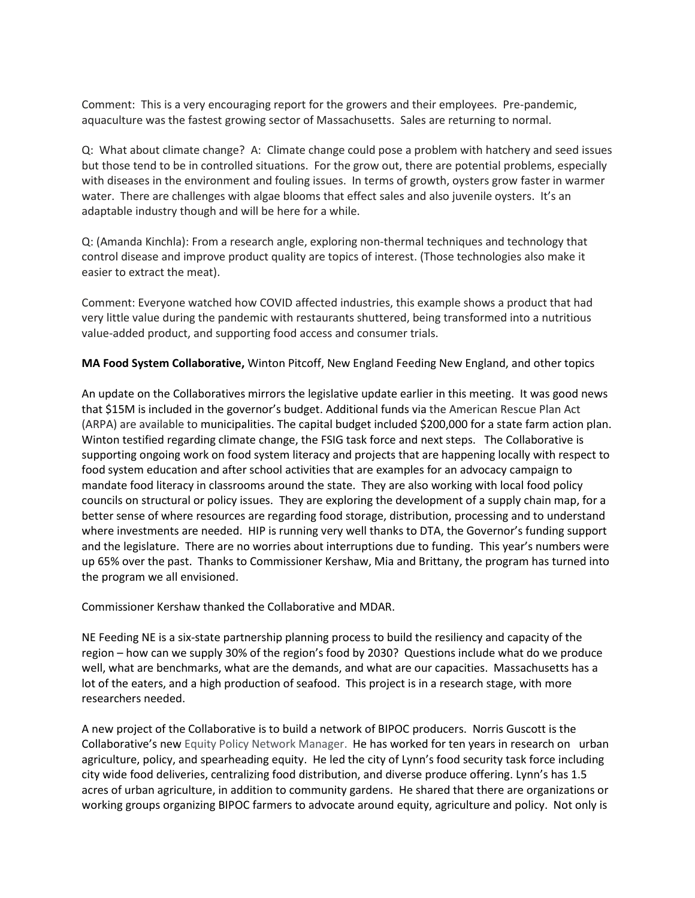Comment: This is a very encouraging report for the growers and their employees. Pre-pandemic, aquaculture was the fastest growing sector of Massachusetts. Sales are returning to normal.

Q: What about climate change? A: Climate change could pose a problem with hatchery and seed issues but those tend to be in controlled situations. For the grow out, there are potential problems, especially with diseases in the environment and fouling issues. In terms of growth, oysters grow faster in warmer water. There are challenges with algae blooms that effect sales and also juvenile oysters. It's an adaptable industry though and will be here for a while.

Q: (Amanda Kinchla): From a research angle, exploring non-thermal techniques and technology that control disease and improve product quality are topics of interest. (Those technologies also make it easier to extract the meat).

Comment: Everyone watched how COVID affected industries, this example shows a product that had very little value during the pandemic with restaurants shuttered, being transformed into a nutritious value-added product, and supporting food access and consumer trials.

## **MA Food System Collaborative,** Winton Pitcoff, New England Feeding New England, and other topics

An update on the Collaboratives mirrors the legislative update earlier in this meeting. It was good news that \$15M is included in the governor's budget. Additional funds via the American Rescue Plan Act (ARPA) are available to municipalities. The capital budget included \$200,000 for a state farm action plan. Winton testified regarding climate change, the FSIG task force and next steps. The Collaborative is supporting ongoing work on food system literacy and projects that are happening locally with respect to food system education and after school activities that are examples for an advocacy campaign to mandate food literacy in classrooms around the state. They are also working with local food policy councils on structural or policy issues. They are exploring the development of a supply chain map, for a better sense of where resources are regarding food storage, distribution, processing and to understand where investments are needed. HIP is running very well thanks to DTA, the Governor's funding support and the legislature. There are no worries about interruptions due to funding. This year's numbers were up 65% over the past. Thanks to Commissioner Kershaw, Mia and Brittany, the program has turned into the program we all envisioned.

Commissioner Kershaw thanked the Collaborative and MDAR.

NE Feeding NE is a six-state partnership planning process to build the resiliency and capacity of the region – how can we supply 30% of the region's food by 2030? Questions include what do we produce well, what are benchmarks, what are the demands, and what are our capacities. Massachusetts has a lot of the eaters, and a high production of seafood. This project is in a research stage, with more researchers needed.

A new project of the Collaborative is to build a network of BIPOC producers. Norris Guscott is the Collaborative's new Equity Policy Network Manager. He has worked for ten years in research on urban agriculture, policy, and spearheading equity. He led the city of Lynn's food security task force including city wide food deliveries, centralizing food distribution, and diverse produce offering. Lynn's has 1.5 acres of urban agriculture, in addition to community gardens. He shared that there are organizations or working groups organizing BIPOC farmers to advocate around equity, agriculture and policy. Not only is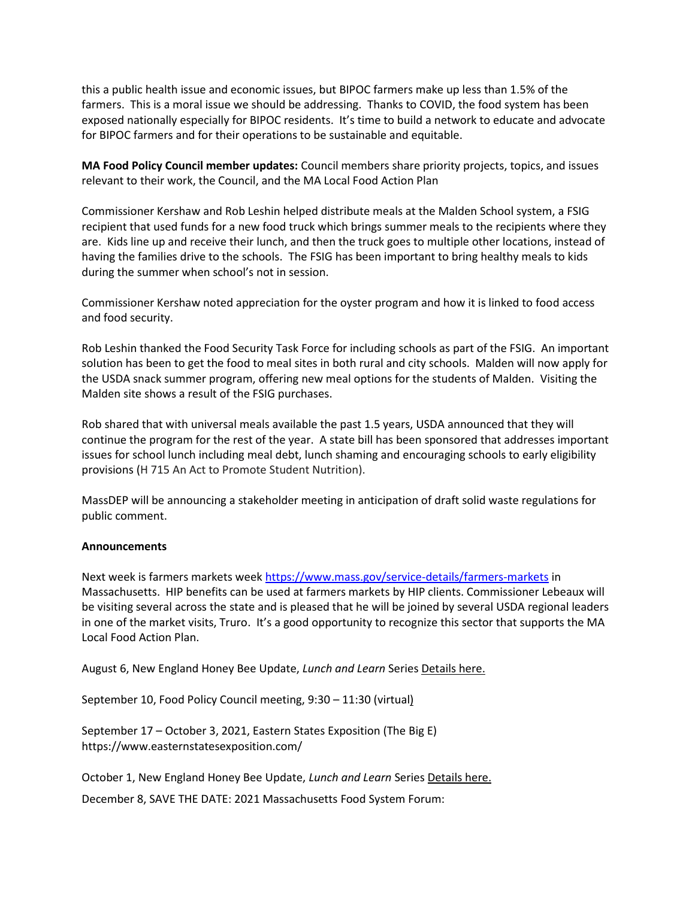this a public health issue and economic issues, but BIPOC farmers make up less than 1.5% of the farmers. This is a moral issue we should be addressing. Thanks to COVID, the food system has been exposed nationally especially for BIPOC residents. It's time to build a network to educate and advocate for BIPOC farmers and for their operations to be sustainable and equitable.

**MA Food Policy Council member updates:** Council members share priority projects, topics, and issues relevant to their work, the Council, and the MA Local Food Action Plan

Commissioner Kershaw and Rob Leshin helped distribute meals at the Malden School system, a FSIG recipient that used funds for a new food truck which brings summer meals to the recipients where they are. Kids line up and receive their lunch, and then the truck goes to multiple other locations, instead of having the families drive to the schools. The FSIG has been important to bring healthy meals to kids during the summer when school's not in session.

Commissioner Kershaw noted appreciation for the oyster program and how it is linked to food access and food security.

Rob Leshin thanked the Food Security Task Force for including schools as part of the FSIG. An important solution has been to get the food to meal sites in both rural and city schools. Malden will now apply for the USDA snack summer program, offering new meal options for the students of Malden. Visiting the Malden site shows a result of the FSIG purchases.

Rob shared that with universal meals available the past 1.5 years, USDA announced that they will continue the program for the rest of the year. A state bill has been sponsored that addresses important issues for school lunch including meal debt, lunch shaming and encouraging schools to early eligibility provisions (H 715 An Act to Promote Student Nutrition).

MassDEP will be announcing a stakeholder meeting in anticipation of draft solid waste regulations for public comment.

## **Announcements**

Next week is farmers markets wee[k https://www.mass.gov/service-details/farmers-markets](https://www.mass.gov/service-details/farmers-markets) in Massachusetts. HIP benefits can be used at farmers markets by HIP clients. Commissioner Lebeaux will be visiting several across the state and is pleased that he will be joined by several USDA regional leaders in one of the market visits, Truro. It's a good opportunity to recognize this sector that supports the MA Local Food Action Plan.

August 6, New England Honey Bee Update, *Lunch and Learn* Series [Details here.](https://www.mass.gov/doc/new-england-honey-bee-update-lunch-and-learn-series/download)

September 10, Food Policy Council meeting, 9:30 – 11:30 (virtual)

September 17 – October 3, 2021, Eastern States Exposition (The Big E) https://www.easternstatesexposition.com/

October 1, New England Honey Bee Update, *Lunch and Learn* Series [Details here.](https://www.mass.gov/doc/new-england-honey-bee-update-lunch-and-learn-series/download)

December 8, SAVE THE DATE: 2021 Massachusetts Food System Forum: